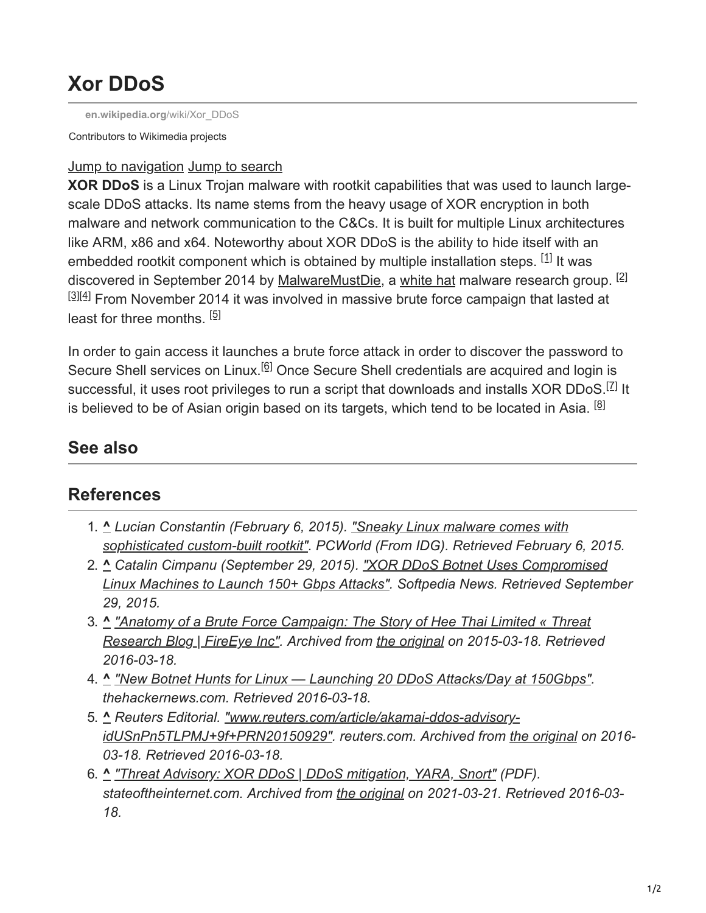## **Xor DDoS**

**[en.wikipedia.org](https://en.wikipedia.org/wiki/Xor_DDoS)**/wiki/Xor\_DDoS

Contributors to Wikimedia projects

## Jump to navigation Jump to search

**XOR DDoS** is a Linux Trojan malware with rootkit capabilities that was used to launch largescale DDoS attacks. Its name stems from the heavy usage of XOR encryption in both malware and network communication to the C&Cs. It is built for multiple Linux architectures like ARM, x86 and x64. Noteworthy about XOR DDoS is the ability to hide itself with an embedded rootkit component which is obtained by multiple installation steps. <sup>[1]</sup> It was discovered in September 2014 by [MalwareMustDie,](https://en.wikipedia.org/wiki/MalwareMustDie) a [white hat](https://en.wikipedia.org/wiki/White_hat_(computer_security)) malware research group. <sup>[2]</sup>  $[3][4]$  From November 2014 it was involved in massive brute force campaign that lasted at least for three months. <sup>[5]</sup>

In order to gain access it launches a brute force attack in order to discover the password to Secure Shell services on Linux.<sup>[6]</sup> Once Secure Shell credentials are acquired and login is successful, it uses root privileges to run a script that downloads and installs XOR DDoS.<sup>[Z]</sup> It is believed to be of Asian origin based on its targets, which tend to be located in Asia. <sup>[8]</sup>

## **See also**

## **References**

- 1. **^** *Lucian Constantin (February 6, 2015). "Sneaky Linux malware comes with [sophisticated custom-built rootkit". PCWorld \(From IDG\). Retrieved February](https://www.pcworld.com/article/2881152/ddos-malware-for-linux-systems-comes-with-sophisticated-custombuilt-rootkit.html) 6, 2015.*
- 2. **^** *Catalin Cimpanu (September 29, 2015). "XOR DDoS Botnet Uses Compromised [Linux Machines to Launch 150+ Gbps Attacks". Softpedia News. Retrieved Septem](https://news.softpedia.com/news/xor-ddos-botnet-uses-compromised-linux-machines-to-launch-150-plus-gbps-attacks-493139.shtml)ber 29, 2015.*
- 3. **^** *["Anatomy of a Brute Force Campaign: The Story of Hee Thai Limited « Threat](https://web.archive.org/web/20150318164748/https://www.fireeye.com/blog/threat-research/2015/02/anatomy_of_a_brutef.html) Research Blog | FireEye Inc". Archived from [the original](https://www.fireeye.com/blog/threat-research/2015/02/anatomy_of_a_brutef.html) on 2015-03-18. Retrieved 2016-03-18.*
- 4. **^** *["New Botnet Hunts for Linux Launching 20 DDoS Attacks/Day at 150Gbps".](http://thehackernews.com/2015/09/xor-ddos-attack.html) thehackernews.com. Retrieved 2016-03-18.*
- 5. **^** *Reuters Editorial. "www.reuters.com/article/akamai-ddos-advisory[idUSnPn5TLPMJ+9f+PRN20150929". reuters.com. Archived from t](https://web.archive.org/web/20160318142501/http://www.reuters.com/article/akamai-ddos-advisory-idUSnPn5TLPMJ+9f+PRN20150929)[he original](https://www.reuters.com/article/akamai-ddos-advisory-idUSnPn5TLPMJ+9f+PRN20150929) on 2016- 03-18. Retrieved 2016-03-18.*
- 6. **^** *["Threat Advisory: XOR DDoS | DDoS mitigation, YARA, Snort"](https://web.archive.org/web/20210323185249/https://www.akamai.com/us/en/multimedia/documents/state-of-the-internet/fast-dns-xor-botnet-case-study.pdf) (PDF). stateoftheinternet.com. Archived from [the original](https://www.stateoftheinternet.com/resources-web-security-threat-advisories-2015-xor-ddos-attacks-linux-botnet-malware-removal-ddos-mitigation-yara-snort.html) on 2021-03-21. Retrieved 2016-03- 18.*